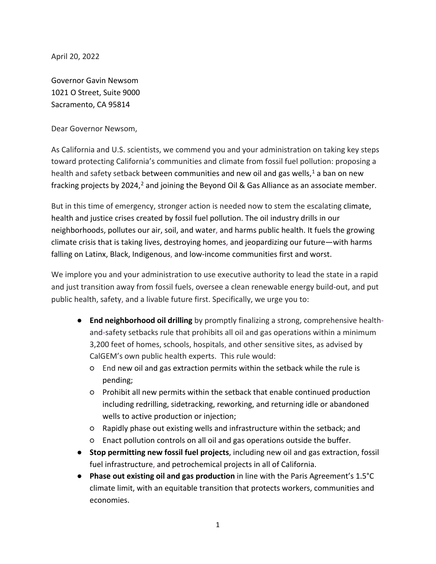April 20, 2022

Governor Gavin Newsom 1021 O Street, Suite 9000 Sacramento, CA 95814

Dear Governor Newsom,

As California and U.S. scientists, we commend you and your administration on taking key steps toward protecting California's communities and climate from fossil fuel pollution: proposing a health and safety setback between communities and new oil and gas wells,<sup>[1](#page-15-0)</sup> a ban on new fracking projects by [2](#page-15-1)024,<sup>2</sup> and joining the Beyond Oil & Gas Alliance as an associate member.

But in this time of emergency, stronger action is needed now to stem the escalating climate, health and justice crises created by fossil fuel pollution. The oil industry drills in our neighborhoods, pollutes our air, soil, and water, and harms public health. It fuels the growing climate crisis that is taking lives, destroying homes, and jeopardizing our future—with harms falling on Latinx, Black, Indigenous, and low-income communities first and worst.

We implore you and your administration to use executive authority to lead the state in a rapid and just transition away from fossil fuels, oversee a clean renewable energy build-out, and put public health, safety, and a livable future first. Specifically, we urge you to:

- **End neighborhood oil drilling** by promptly finalizing a strong, comprehensive healthand-safety setbacks rule that prohibits all oil and gas operations within a minimum 3,200 feet of homes, schools, hospitals, and other sensitive sites, as advised by CalGEM's own public health experts. This rule would:
	- End new oil and gas extraction permits within the setback while the rule is pending;
	- Prohibit all new permits within the setback that enable continued production including redrilling, sidetracking, reworking, and returning idle or abandoned wells to active production or injection;
	- Rapidly phase out existing wells and infrastructure within the setback; and
	- Enact pollution controls on all oil and gas operations outside the buffer.
- **Stop permitting new fossil fuel projects**, including new oil and gas extraction, fossil fuel infrastructure, and petrochemical projects in all of California.
- **Phase out existing oil and gas production** in line with the Paris Agreement's 1.5°C climate limit, with an equitable transition that protects workers, communities and economies.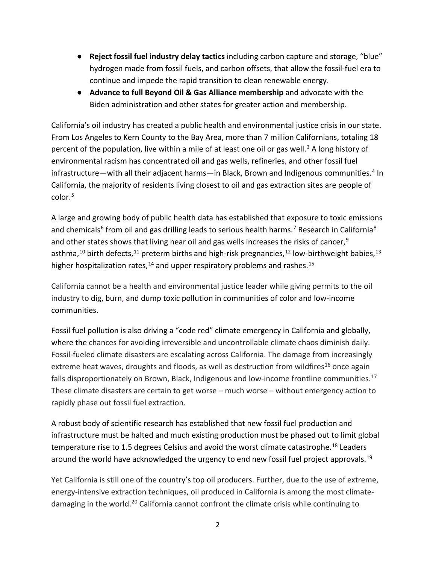- **Reject fossil fuel industry delay tactics** including carbon capture and storage, "blue" hydrogen made from fossil fuels, and carbon offsets, that allow the fossil-fuel era to continue and impede the rapid transition to clean renewable energy.
- **Advance to full Beyond Oil & Gas Alliance membership** and advocate with the Biden administration and other states for greater action and membership.

California's oil industry has created a public health and environmental justice crisis in our state. From Los Angeles to Kern County to the Bay Area, more than 7 million Californians, totaling 18 percent of the population, live within a mile of at least one oil or gas well.<sup>[3](#page-15-2)</sup> A long history of environmental racism has concentrated oil and gas wells, refineries, and other fossil fuel infrastructure—with all their adjacent harms—in Black, Brown and Indigenous communities.<sup>[4](#page-15-3)</sup> In California, the majority of residents living closest to oil and gas extraction sites are people of color.[5](#page-15-4)

A large and growing body of public health data has established that exposure to toxic emissions and chemicals<sup>[6](#page-15-5)</sup> from oil and gas drilling leads to serious health harms.<sup>[7](#page-15-6)</sup> Research in California<sup>[8](#page-15-7)</sup> and other states shows that living near oil and gas wells increases the risks of cancer,  $9$ asthma,<sup>[10](#page-16-1)</sup> birth defects,<sup>[11](#page-16-2)</sup> preterm births and high-risk pregnancies,<sup>12</sup> low-birthweight babies,<sup>[13](#page-17-0)</sup> higher hospitalization rates, $^{14}$  $^{14}$  $^{14}$  and upper respiratory problems and rashes.<sup>15</sup>

California cannot be a health and environmental justice leader while giving permits to the oil industry to dig, burn, and dump toxic pollution in communities of color and low-income communities.

Fossil fuel pollution is also driving a "code red" climate emergency in California and globally, where the chances for avoiding irreversible and uncontrollable climate chaos diminish daily. Fossil-fueled climate disasters are escalating across California. The damage from increasingly extreme heat waves, droughts and floods, as well as destruction from wildfires<sup>[16](#page-17-3)</sup> once again falls disproportionately on Brown, Black, Indigenous and low-income frontline communities.<sup>[17](#page-17-4)</sup> These climate disasters are certain to get worse – much worse – without emergency action to rapidly phase out fossil fuel extraction.

A robust body of scientific research has established that new fossil fuel production and infrastructure must be halted and much existing production must be phased out to limit global temperature rise to 1.5 degrees Celsius and avoid the worst climate catastrophe.<sup>[18](#page-17-5)</sup> Leaders around the world have acknowledged the urgency to end new fossil fuel project approvals.<sup>[19](#page-17-0)</sup>

Yet California is still one of the country's top oil producers. Further, due to the use of extreme, energy-intensive extraction techniques, oil produced in California is among the most climate-damaging in the world.<sup>[20](#page-17-6)</sup> California cannot confront the climate crisis while continuing to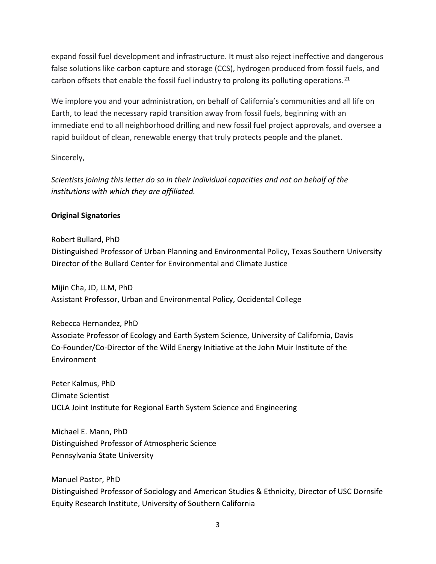expand fossil fuel development and infrastructure. It must also reject ineffective and dangerous false solutions like carbon capture and storage (CCS), hydrogen produced from fossil fuels, and carbon offsets that enable the fossil fuel industry to prolong its polluting operations.<sup>[21](#page-17-3)</sup>

We implore you and your administration, on behalf of California's communities and all life on Earth, to lead the necessary rapid transition away from fossil fuels, beginning with an immediate end to all neighborhood drilling and new fossil fuel project approvals, and oversee a rapid buildout of clean, renewable energy that truly protects people and the planet.

Sincerely,

*Scientists joining this letter do so in their individual capacities and not on behalf of the institutions with which they are affiliated.*

# **Original Signatories**

Robert Bullard, PhD Distinguished Professor of Urban Planning and Environmental Policy, Texas Southern University Director of the Bullard Center for Environmental and Climate Justice

Mijin Cha, JD, LLM, PhD Assistant Professor, Urban and Environmental Policy, Occidental College

Rebecca Hernandez, PhD Associate Professor of Ecology and Earth System Science, University of California, Davis Co-Founder/Co-Director of the Wild Energy Initiative at the John Muir Institute of the Environment

Peter Kalmus, PhD Climate Scientist UCLA Joint Institute for Regional Earth System Science and Engineering

Michael E. Mann, PhD Distinguished Professor of Atmospheric Science Pennsylvania State University

Manuel Pastor, PhD Distinguished Professor of Sociology and American Studies & Ethnicity, Director of USC Dornsife Equity Research Institute, University of Southern California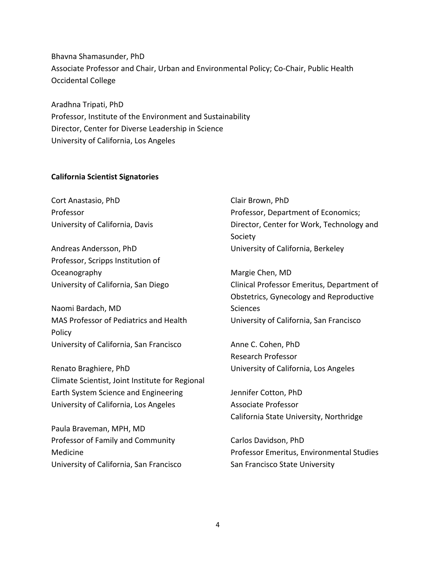Bhavna Shamasunder, PhD Associate Professor and Chair, Urban and Environmental Policy; Co-Chair, Public Health Occidental College

Aradhna Tripati, PhD Professor, Institute of the Environment and Sustainability Director, Center for Diverse Leadership in Science University of California, Los Angeles

#### **California Scientist Signatories**

Cort Anastasio, PhD Professor University of California, Davis

Andreas Andersson, PhD Professor, Scripps Institution of Oceanography University of California, San Diego

Naomi Bardach, MD MAS Professor of Pediatrics and Health Policy University of California, San Francisco

Renato Braghiere, PhD Climate Scientist, Joint Institute for Regional Earth System Science and Engineering University of California, Los Angeles

Paula Braveman, MPH, MD Professor of Family and Community Medicine University of California, San Francisco Clair Brown, PhD Professor, Department of Economics; Director, Center for Work, Technology and Society University of California, Berkeley

Margie Chen, MD Clinical Professor Emeritus, Department of Obstetrics, Gynecology and Reproductive **Sciences** University of California, San Francisco

Anne C. Cohen, PhD Research Professor University of California, Los Angeles

Jennifer Cotton, PhD Associate Professor California State University, Northridge

Carlos Davidson, PhD Professor Emeritus, Environmental Studies San Francisco State University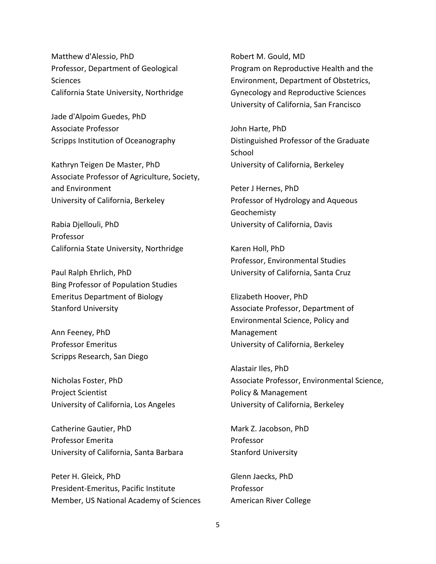Matthew d'Alessio, PhD Professor, Department of Geological **Sciences** California State University, Northridge

Jade d'Alpoim Guedes, PhD Associate Professor Scripps Institution of Oceanography

Kathryn Teigen De Master, PhD Associate Professor of Agriculture, Society, and Environment University of California, Berkeley

Rabia Djellouli, PhD Professor California State University, Northridge

Paul Ralph Ehrlich, PhD Bing Professor of Population Studies Emeritus Department of Biology Stanford University

Ann Feeney, PhD Professor Emeritus Scripps Research, San Diego

Nicholas Foster, PhD Project Scientist University of California, Los Angeles

Catherine Gautier, PhD Professor Emerita University of California, Santa Barbara

Peter H. Gleick, PhD President-Emeritus, Pacific Institute Member, US National Academy of Sciences Robert M. Gould, MD Program on Reproductive Health and the Environment, Department of Obstetrics, Gynecology and Reproductive Sciences University of California, San Francisco

John Harte, PhD Distinguished Professor of the Graduate **School** University of California, Berkeley

Peter J Hernes, PhD Professor of Hydrology and Aqueous Geochemisty University of California, Davis

Karen Holl, PhD Professor, Environmental Studies University of California, Santa Cruz

Elizabeth Hoover, PhD Associate Professor, Department of Environmental Science, Policy and Management University of California, Berkeley

Alastair Iles, PhD Associate Professor, Environmental Science, Policy & Management University of California, Berkeley

Mark Z. Jacobson, PhD Professor Stanford University

Glenn Jaecks, PhD Professor American River College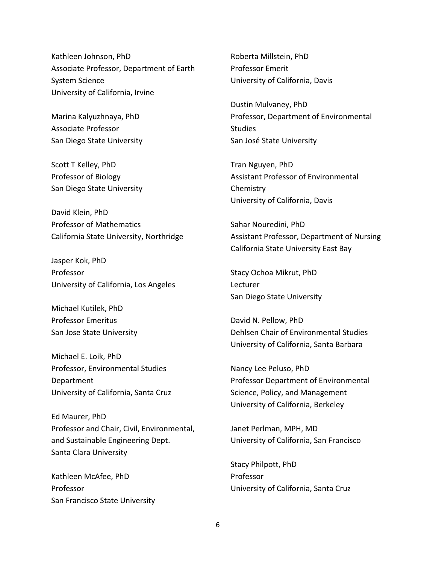Kathleen Johnson, PhD Associate Professor, Department of Earth System Science University of California, Irvine

Marina Kalyuzhnaya, PhD Associate Professor San Diego State University

Scott T Kelley, PhD Professor of Biology San Diego State University

David Klein, PhD Professor of Mathematics California State University, Northridge

Jasper Kok, PhD Professor University of California, Los Angeles

Michael Kutilek, PhD Professor Emeritus San Jose State University

Michael E. Loik, PhD Professor, Environmental Studies Department University of California, Santa Cruz

Ed Maurer, PhD Professor and Chair, Civil, Environmental, and Sustainable Engineering Dept. Santa Clara University

Kathleen McAfee, PhD Professor San Francisco State University Roberta Millstein, PhD Professor Emerit University of California, Davis

Dustin Mulvaney, PhD Professor, Department of Environmental **Studies** San José State University

Tran Nguyen, PhD Assistant Professor of Environmental **Chemistry** University of California, Davis

Sahar Nouredini, PhD Assistant Professor, Department of Nursing California State University East Bay

Stacy Ochoa Mikrut, PhD Lecturer San Diego State University

David N. Pellow, PhD Dehlsen Chair of Environmental Studies University of California, Santa Barbara

Nancy Lee Peluso, PhD Professor Department of Environmental Science, Policy, and Management University of California, Berkeley

Janet Perlman, MPH, MD University of California, San Francisco

Stacy Philpott, PhD Professor University of California, Santa Cruz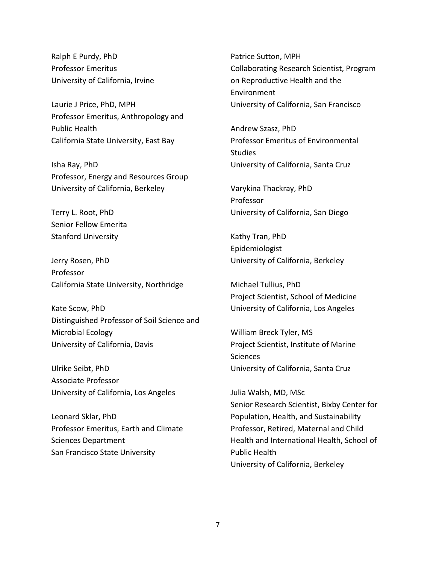Ralph E Purdy, PhD Professor Emeritus University of California, Irvine

Laurie J Price, PhD, MPH Professor Emeritus, Anthropology and Public Health California State University, East Bay

Isha Ray, PhD Professor, Energy and Resources Group University of California, Berkeley

Terry L. Root, PhD Senior Fellow Emerita Stanford University

Jerry Rosen, PhD Professor California State University, Northridge

Kate Scow, PhD Distinguished Professor of Soil Science and Microbial Ecology University of California, Davis

Ulrike Seibt, PhD Associate Professor University of California, Los Angeles

Leonard Sklar, PhD Professor Emeritus, Earth and Climate Sciences Department San Francisco State University

Patrice Sutton, MPH Collaborating Research Scientist, Program on Reproductive Health and the Environment University of California, San Francisco

Andrew Szasz, PhD Professor Emeritus of Environmental **Studies** University of California, Santa Cruz

Varykina Thackray, PhD Professor University of California, San Diego

Kathy Tran, PhD Epidemiologist University of California, Berkeley

Michael Tullius, PhD Project Scientist, School of Medicine University of California, Los Angeles

William Breck Tyler, MS Project Scientist, Institute of Marine **Sciences** University of California, Santa Cruz

Julia Walsh, MD, MSc Senior Research Scientist, Bixby Center for Population, Health, and Sustainability Professor, Retired, Maternal and Child Health and International Health, School of Public Health University of California, Berkeley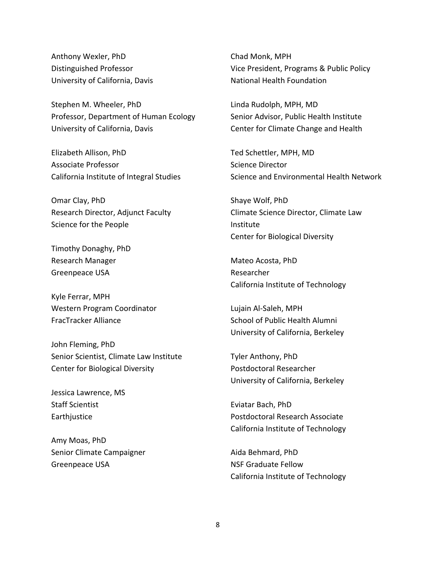Anthony Wexler, PhD Distinguished Professor University of California, Davis

Stephen M. Wheeler, PhD Professor, Department of Human Ecology University of California, Davis

Elizabeth Allison, PhD Associate Professor California Institute of Integral Studies

Omar Clay, PhD Research Director, Adjunct Faculty Science for the People

Timothy Donaghy, PhD Research Manager Greenpeace USA

Kyle Ferrar, MPH Western Program Coordinator FracTracker Alliance

John Fleming, PhD Senior Scientist, Climate Law Institute Center for Biological Diversity

Jessica Lawrence, MS Staff Scientist Earthjustice

Amy Moas, PhD Senior Climate Campaigner Greenpeace USA

Chad Monk, MPH Vice President, Programs & Public Policy National Health Foundation

Linda Rudolph, MPH, MD Senior Advisor, Public Health Institute Center for Climate Change and Health

Ted Schettler, MPH, MD Science Director Science and Environmental Health Network

Shaye Wolf, PhD Climate Science Director, Climate Law Institute Center for Biological Diversity

Mateo Acosta, PhD Researcher California Institute of Technology

Lujain Al-Saleh, MPH School of Public Health Alumni University of California, Berkeley

Tyler Anthony, PhD Postdoctoral Researcher University of California, Berkeley

Eviatar Bach, PhD Postdoctoral Research Associate California Institute of Technology

Aida Behmard, PhD NSF Graduate Fellow California Institute of Technology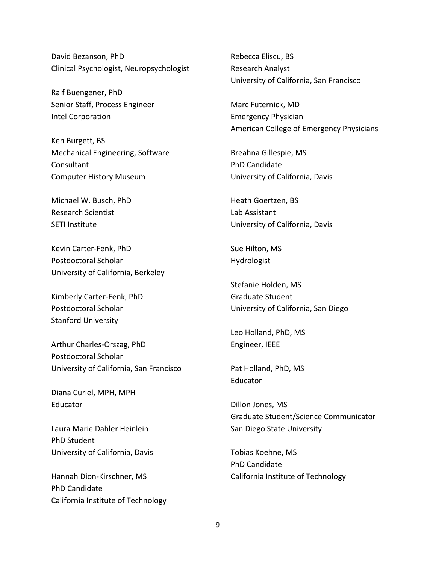David Bezanson, PhD Clinical Psychologist, Neuropsychologist

Ralf Buengener, PhD Senior Staff, Process Engineer Intel Corporation

Ken Burgett, BS Mechanical Engineering, Software **Consultant** Computer History Museum

Michael W. Busch, PhD Research Scientist SETI Institute

Kevin Carter-Fenk, PhD Postdoctoral Scholar University of California, Berkeley

Kimberly Carter-Fenk, PhD Postdoctoral Scholar Stanford University

Arthur Charles-Orszag, PhD Postdoctoral Scholar University of California, San Francisco

Diana Curiel, MPH, MPH Educator

Laura Marie Dahler Heinlein PhD Student University of California, Davis

Hannah Dion-Kirschner, MS PhD Candidate California Institute of Technology Rebecca Eliscu, BS Research Analyst University of California, San Francisco

Marc Futernick, MD Emergency Physician American College of Emergency Physicians

Breahna Gillespie, MS PhD Candidate University of California, Davis

Heath Goertzen, BS Lab Assistant University of California, Davis

Sue Hilton, MS Hydrologist

Stefanie Holden, MS Graduate Student University of California, San Diego

Leo Holland, PhD, MS Engineer, IEEE

Pat Holland, PhD, MS Educator

Dillon Jones, MS Graduate Student/Science Communicator San Diego State University

Tobias Koehne, MS PhD Candidate California Institute of Technology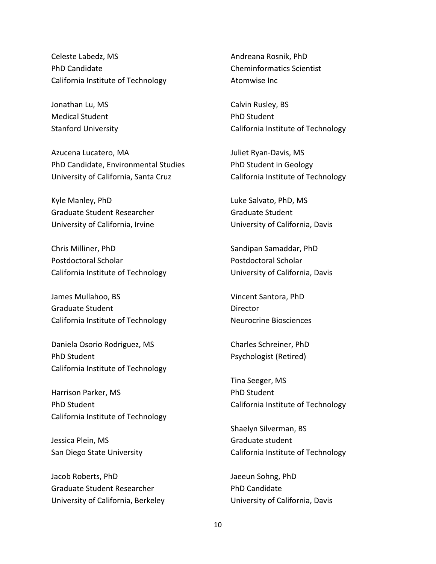Celeste Labedz, MS PhD Candidate California Institute of Technology

Jonathan Lu, MS Medical Student Stanford University

Azucena Lucatero, MA PhD Candidate, Environmental Studies University of California, Santa Cruz

Kyle Manley, PhD Graduate Student Researcher University of California, Irvine

Chris Milliner, PhD Postdoctoral Scholar California Institute of Technology

James Mullahoo, BS Graduate Student California Institute of Technology

Daniela Osorio Rodriguez, MS PhD Student California Institute of Technology

Harrison Parker, MS PhD Student California Institute of Technology

Jessica Plein, MS San Diego State University

Jacob Roberts, PhD Graduate Student Researcher University of California, Berkeley Andreana Rosnik, PhD Cheminformatics Scientist Atomwise Inc

Calvin Rusley, BS PhD Student California Institute of Technology

Juliet Ryan-Davis, MS PhD Student in Geology California Institute of Technology

Luke Salvato, PhD, MS Graduate Student University of California, Davis

Sandipan Samaddar, PhD Postdoctoral Scholar University of California, Davis

Vincent Santora, PhD **Director** Neurocrine Biosciences

Charles Schreiner, PhD Psychologist (Retired)

Tina Seeger, MS PhD Student California Institute of Technology

Shaelyn Silverman, BS Graduate student California Institute of Technology

Jaeeun Sohng, PhD PhD Candidate University of California, Davis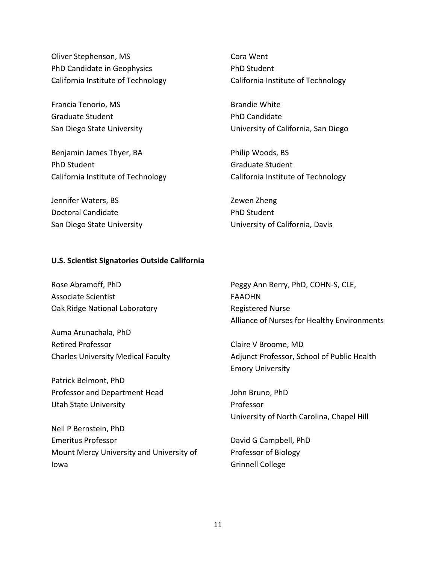Oliver Stephenson, MS PhD Candidate in Geophysics California Institute of Technology

Francia Tenorio, MS Graduate Student San Diego State University

Benjamin James Thyer, BA PhD Student California Institute of Technology

Jennifer Waters, BS Doctoral Candidate San Diego State University Cora Went PhD Student California Institute of Technology

Brandie White PhD Candidate University of California, San Diego

Philip Woods, BS Graduate Student California Institute of Technology

Zewen Zheng PhD Student University of California, Davis

### **U.S. Scientist Signatories Outside California**

Rose Abramoff, PhD Associate Scientist Oak Ridge National Laboratory

Auma Arunachala, PhD Retired Professor Charles University Medical Faculty

Patrick Belmont, PhD Professor and Department Head Utah State University

Neil P Bernstein, PhD Emeritus Professor Mount Mercy University and University of Iowa

Peggy Ann Berry, PhD, COHN-S, CLE, FAAOHN Registered Nurse Alliance of Nurses for Healthy Environments

Claire V Broome, MD Adjunct Professor, School of Public Health Emory University

John Bruno, PhD Professor University of North Carolina, Chapel Hill

David G Campbell, PhD Professor of Biology Grinnell College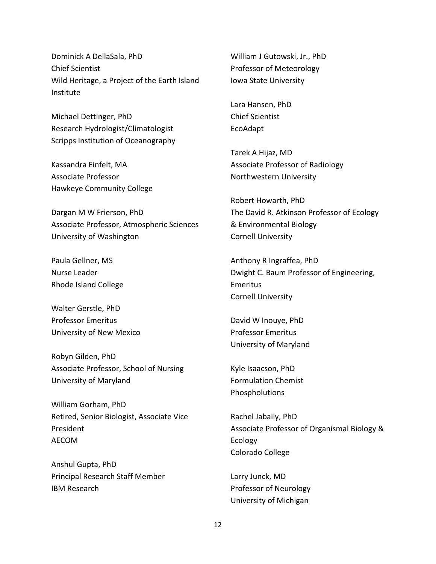Dominick A DellaSala, PhD Chief Scientist Wild Heritage, a Project of the Earth Island Institute

Michael Dettinger, PhD Research Hydrologist/Climatologist Scripps Institution of Oceanography

Kassandra Einfelt, MA Associate Professor Hawkeye Community College

Dargan M W Frierson, PhD Associate Professor, Atmospheric Sciences University of Washington

Paula Gellner, MS Nurse Leader Rhode Island College

Walter Gerstle, PhD Professor Emeritus University of New Mexico

Robyn Gilden, PhD Associate Professor, School of Nursing University of Maryland

William Gorham, PhD Retired, Senior Biologist, Associate Vice President AECOM

Anshul Gupta, PhD Principal Research Staff Member IBM Research

William J Gutowski, Jr., PhD Professor of Meteorology Iowa State University

Lara Hansen, PhD Chief Scientist EcoAdapt

Tarek A Hijaz, MD Associate Professor of Radiology Northwestern University

Robert Howarth, PhD The David R. Atkinson Professor of Ecology & Environmental Biology Cornell University

Anthony R Ingraffea, PhD Dwight C. Baum Professor of Engineering, Emeritus Cornell University

David W Inouye, PhD Professor Emeritus University of Maryland

Kyle Isaacson, PhD Formulation Chemist Phospholutions

Rachel Jabaily, PhD Associate Professor of Organismal Biology & Ecology Colorado College

Larry Junck, MD Professor of Neurology University of Michigan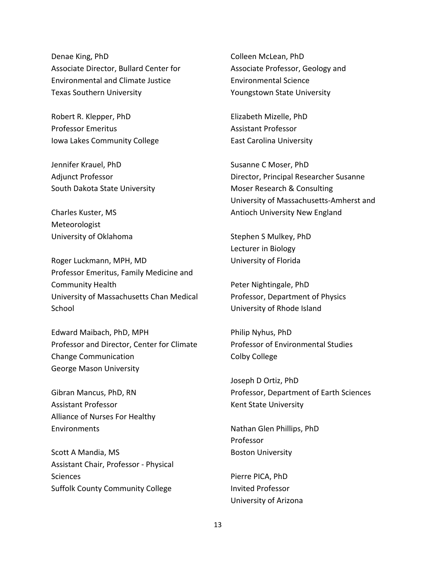Denae King, PhD Associate Director, Bullard Center for Environmental and Climate Justice Texas Southern University

Robert R. Klepper, PhD Professor Emeritus Iowa Lakes Community College

Jennifer Krauel, PhD Adjunct Professor South Dakota State University

Charles Kuster, MS Meteorologist University of Oklahoma

Roger Luckmann, MPH, MD Professor Emeritus, Family Medicine and Community Health University of Massachusetts Chan Medical **School** 

Edward Maibach, PhD, MPH Professor and Director, Center for Climate Change Communication George Mason University

Gibran Mancus, PhD, RN Assistant Professor Alliance of Nurses For Healthy **Environments** 

Scott A Mandia, MS Assistant Chair, Professor - Physical **Sciences** Suffolk County Community College

Colleen McLean, PhD Associate Professor, Geology and Environmental Science Youngstown State University

Elizabeth Mizelle, PhD Assistant Professor East Carolina University

Susanne C Moser, PhD Director, Principal Researcher Susanne Moser Research & Consulting University of Massachusetts-Amherst and Antioch University New England

Stephen S Mulkey, PhD Lecturer in Biology University of Florida

Peter Nightingale, PhD Professor, Department of Physics University of Rhode Island

Philip Nyhus, PhD Professor of Environmental Studies Colby College

Joseph D Ortiz, PhD Professor, Department of Earth Sciences Kent State University

Nathan Glen Phillips, PhD Professor Boston University

Pierre PICA, PhD Invited Professor University of Arizona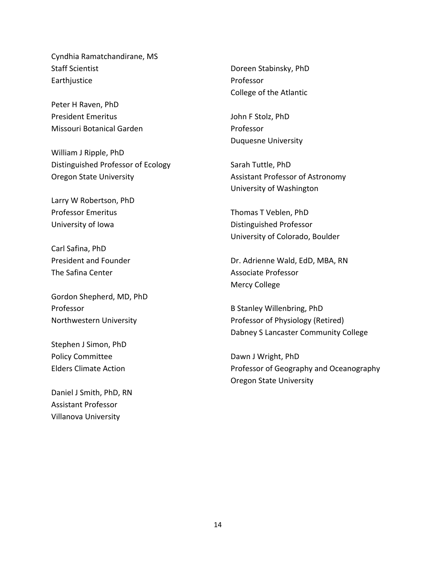Cyndhia Ramatchandirane, MS Staff Scientist Earthjustice

Peter H Raven, PhD President Emeritus Missouri Botanical Garden

William J Ripple, PhD Distinguished Professor of Ecology Oregon State University

Larry W Robertson, PhD Professor Emeritus University of Iowa

Carl Safina, PhD President and Founder The Safina Center

Gordon Shepherd, MD, PhD Professor Northwestern University

Stephen J Simon, PhD Policy Committee Elders Climate Action

Daniel J Smith, PhD, RN Assistant Professor Villanova University

Doreen Stabinsky, PhD Professor College of the Atlantic

John F Stolz, PhD Professor Duquesne University

Sarah Tuttle, PhD Assistant Professor of Astronomy University of Washington

Thomas T Veblen, PhD Distinguished Professor University of Colorado, Boulder

Dr. Adrienne Wald, EdD, MBA, RN Associate Professor Mercy College

B Stanley Willenbring, PhD Professor of Physiology (Retired) Dabney S Lancaster Community College

Dawn J Wright, PhD Professor of Geography and Oceanography Oregon State University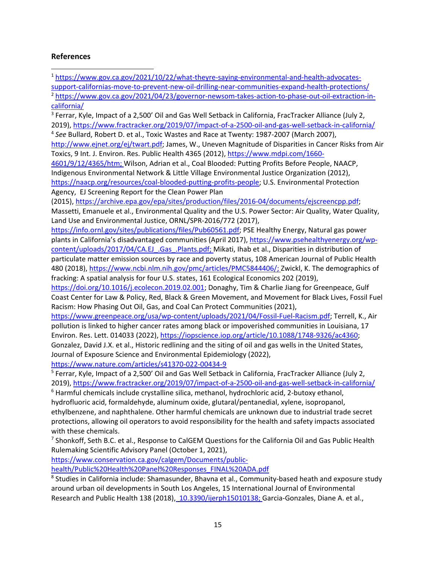## **References**

<sup>1</sup> [https://www.gov.ca.gov/2021/10/22/what-theyre-saying-environmental-and-health-advocates](https://www.gov.ca.gov/2021/10/22/what-theyre-saying-environmental-and-health-advocates-support-californias-move-to-prevent-new-oil-drilling-near-communities-expand-health-protections/)[support-californias-move-to-prevent-new-oil-drilling-near-communities-expand-health-protections/](https://www.gov.ca.gov/2021/10/22/what-theyre-saying-environmental-and-health-advocates-support-californias-move-to-prevent-new-oil-drilling-near-communities-expand-health-protections/)

<sup>2</sup> [https://www.gov.ca.gov/2021/04/23/governor-newsom-takes-action-to-phase-out-oil-extraction-in](https://www.gov.ca.gov/2021/04/23/governor-newsom-takes-action-to-phase-out-oil-extraction-in-california/)[california/](https://www.gov.ca.gov/2021/04/23/governor-newsom-takes-action-to-phase-out-oil-extraction-in-california/)

<sup>3</sup> Ferrar, Kyle, Impact of a 2,500' Oil and Gas Well Setback in California, FracTracker Alliance (July 2, 2019)[,](https://www.fractracker.org/2019/07/impact-of-a-2500-oil-and-gas-well-setback-in-california/) <https://www.fractracker.org/2019/07/impact-of-a-2500-oil-and-gas-well-setback-in-california/>

<sup>4</sup> *See* Bullard, Robert D. et al., Toxic Wastes and Race at Twenty: 1987-2007 (March 2007)[,](http://www.ejnet.org/ej/twart.pdf)

[http://www.ejnet.org/ej/twart.pdf;](http://www.ejnet.org/ej/twart.pdf) James, W., Uneven Magnitude of Disparities in Cancer Risks from Air Toxics, 9 Int. J. Environ. Res. Public Health 4365 (2012)[,](https://www.mdpi.com/1660-4601/9/12/4365/htm) [https://www.mdpi.com/1660-](https://www.mdpi.com/1660-4601/9/12/4365/htm)

[4601/9/12/4365/htm;](https://www.mdpi.com/1660-4601/9/12/4365/htm) Wilson, Adrian et al., Coal Blooded: Putting Profits Before People, NAACP, Indigenous Environmental Network & Little Village Environmental Justice Organization (2012)[,](https://naacp.org/resources/coal-blooded-putting-profits-people) [https://naacp.org/resources/coal-blooded-putting-profits-people;](https://naacp.org/resources/coal-blooded-putting-profits-people) U.S. Environmental Protection Agency, EJ Screening Report for the Clean Power Plan

(2015), [https://archive.epa.gov/epa/sites/production/files/2016-04/documents/ejscreencpp.pdf;](https://archive.epa.gov/epa/sites/production/files/2016-04/documents/ejscreencpp.pdf) Massetti, Emanuele et al., Environmental Quality and the U.S. Power Sector: Air Quality, Water Quality, Land Use and Environmental Justice, ORNL/SPR-2016/772 (2017)[,](https://info.ornl.gov/sites/publications/files/Pub60561.pdf)

[https://info.ornl.gov/sites/publications/files/Pub60561.pdf;](https://info.ornl.gov/sites/publications/files/Pub60561.pdf) PSE Healthy Energy, Natural gas power plants in California's disadvantaged communities (April 2017), [https://www.psehealthyenergy.org/wp](https://www.psehealthyenergy.org/wp-content/uploads/2017/04/CA.EJ_.Gas_.Plants.pdf)[content/uploads/2017/04/CA.EJ\\_.Gas\\_.Plants.pdf;](https://www.psehealthyenergy.org/wp-content/uploads/2017/04/CA.EJ_.Gas_.Plants.pdf) Mikati, Ihab et al., Disparities in distribution of particulate matter emission sources by race and poverty status, 108 American Journal of Public Health 480 (2018), [https://www.ncbi.nlm.nih.gov/pmc/articles/PMC5844406/;](https://www.ncbi.nlm.nih.gov/pmc/articles/PMC5844406/) Zwickl, K. The demographics of fracking: A spatial analysis for four U.S. states, 161 Ecological Economics 202 (2019)[,](https://doi.org/10.1016/j.ecolecon.2019.02.001)

[https://doi.org/10.1016/j.ecolecon.2019.02.001;](https://doi.org/10.1016/j.ecolecon.2019.02.001) Donaghy, Tim & Charlie Jiang for Greenpeace, Gulf Coast Center for Law & Policy, Red, Black & Green Movement, and Movement for Black Lives, Fossil Fuel Racism: How Phasing Out Oil, Gas, and Coal Can Protect Communities (2021)[,](https://www.greenpeace.org/usa/wp-content/uploads/2021/04/Fossil-Fuel-Racism.pdf)

[https://www.greenpeace.org/usa/wp-content/uploads/2021/04/Fossil-Fuel-Racism.pdf;](https://www.greenpeace.org/usa/wp-content/uploads/2021/04/Fossil-Fuel-Racism.pdf) Terrell, K., Air pollution is linked to higher cancer rates among black or impoverished communities in Louisiana, 17 Environ. Res. Lett. 014033 (2022[\),](https://iopscience.iop.org/article/10.1088/1748-9326/ac4360) [https://iopscience.iop.org/article/10.1088/1748-9326/ac4360;](https://iopscience.iop.org/article/10.1088/1748-9326/ac4360) Gonzalez, David J.X. et al., Historic redlining and the siting of oil and gas wells in the United States, Journal of Exposure Science and Environmental Epidemiology (2022),

<https://www.nature.com/articles/s41370-022-00434-9>

<sup>5</sup> Ferrar, Kyle, Impact of a 2,500' Oil and Gas Well Setback in California, FracTracker Alliance (July 2, 2019)[,](https://www.fractracker.org/2019/07/impact-of-a-2500-oil-and-gas-well-setback-in-california/) <https://www.fractracker.org/2019/07/impact-of-a-2500-oil-and-gas-well-setback-in-california/>

 $6$  Harmful chemicals include crystalline silica, methanol, hydrochloric acid, 2-butoxy ethanol, hydrofluoric acid, formaldehyde, aluminum oxide, glutaral/pentanedial, xylene, isopropanol, ethylbenzene, and naphthalene. Other harmful chemicals are unknown due to industrial trade secret protections, allowing oil operators to avoid responsibility for the health and safety impacts associated

with these chemicals.<br><sup>7</sup> Shonkoff, Seth B.C. et al., Response to CalGEM Questions for the California Oil and Gas Public Health Rulemaking Scientific Advisory Panel (October 1, 2021)[,](https://www.conservation.ca.gov/calgem/Documents/public-health/Public%20Health%20Panel%20Responses_FINAL%20ADA.pdf)

[https://www.conservation.ca.gov/calgem/Documents/public-](https://www.conservation.ca.gov/calgem/Documents/public-health/Public%20Health%20Panel%20Responses_FINAL%20ADA.pdf)

[health/Public%20Health%20Panel%20Responses\\_FINAL%20ADA.pdf](https://www.conservation.ca.gov/calgem/Documents/public-health/Public%20Health%20Panel%20Responses_FINAL%20ADA.pdf)

<sup>8</sup> Studies in California include: Shamasunder, Bhavna et al., Community-based heath and exposure study around urban oil developments in South Los Angeles, 15 International Journal of Environmental Research and Public Health 138 (2018)[,](https://pubmed.ncbi.nlm.nih.gov/29342985/) [10.3390/ijerph15010138; G](https://doi.org/10.3390/ijerph15010138)arcia-Gonzales, Diane A. et al.,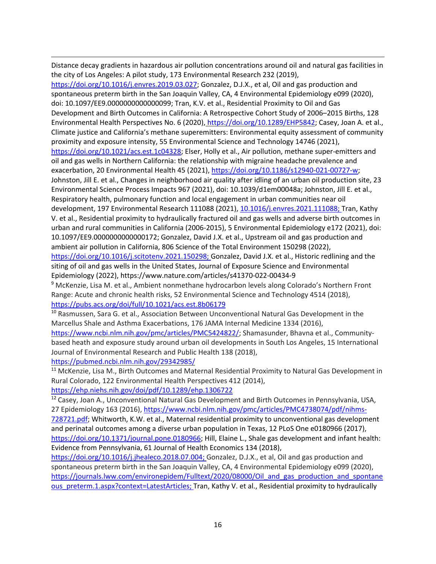Distance decay gradients in hazardous air pollution concentrations around oil and natural gas facilities in the city of Los Angeles: A pilot study, 173 Environmental Research 232 (2019),

<span id="page-15-3"></span><span id="page-15-2"></span><span id="page-15-1"></span><span id="page-15-0"></span>[https://doi.org/10.1016/j.envres.2019.03.027;](https://doi.org/10.1016/j.envres.2019.03.027) Gonzalez, D.J.X., et al, Oil and gas production and spontaneous preterm birth in the San Joaquin Valley, CA, 4 Environmental Epidemiology e099 (2020), doi: 10.1097/EE9.0000000000000099; Tran, K.V. et al., Residential Proximity to Oil and Gas Development and Birth Outcomes in California: A Retrospective Cohort Study of 2006–2015 Births, 128 Environmental Health Perspectives No. 6 (2020)[,](https://doi.org/10.1289/EHP5842) [https://doi.org/10.1289/EHP5842;](https://doi.org/10.1289/EHP5842) Casey, Joan A. et al., Climate justice and California's methane superemitters: Environmental equity assessment of community proximity and exposure intensity, 55 Environmental Science and Technology 14746 (2021), [https://doi.org/10.1021/acs.est.1c04328;](https://doi.org/10.1021/acs.est.1c04328) Elser, Holly et al., Air pollution, methane super-emitters and oil and gas wells in Northern California: the relationship with migraine headache prevalence and exacerbation, 20 Environmental Health 45 (2021), [https://doi.org/10.1186/s12940-021-00727-w;](https://doi.org/10.1186/s12940-021-00727-w) Johnston, Jill E. et al., Changes in neighborhood air quality after idling of an urban oil production site, 23 Environmental Science Process Impacts 967 (2021), doi: 10.1039/d1em00048a; Johnston, Jill E. et al., Respiratory health, pulmonary function and local engagement in urban communities near oil

development, 197 Environmental Research 111088 (2021), [10.1016/j.envres.2021.111088; T](https://doi.org/10.1016/j.envres.2021.111088)ran, Kathy V. et al., Residential proximity to hydraulically fractured oil and gas wells and adverse birth outcomes in urban and rural communities in California (2006-2015), 5 Environmental Epidemiology e172 (2021), doi: 10.1097/EE9.0000000000000172; Gonzalez, David J.X. et al., Upstream oil and gas production and ambient air pollution in California, 806 Science of the Total Environment 150298 (2022),

[https://doi.org/10.1016/j.scitotenv.2021.150298;](https://doi.org/10.1016/j.scitotenv.2021.150298) Gonzalez, David J.X. et al., Historic redlining and the siting of oil and gas wells in the United States, Journal of Exposure Science and Environmental Epidemiology (2022),<https://www.nature.com/articles/s41370-022-00434-9>

<sup>9</sup> McKenzie, Lisa M. et al., Ambient nonmethane hydrocarbon levels along Colorado's Northern Front Range: Acute and chronic health risks, 52 Environmental Science and Technology 4514 (2018)[,](https://pubs.acs.org/doi/full/10.1021/acs.est.8b06179) <https://pubs.acs.org/doi/full/10.1021/acs.est.8b06179>

<sup>10</sup> Rasmussen, Sara G. et al., Association Between Unconventional Natural Gas Development in the Marcellus Shale and Asthma Exacerbations, 176 JAMA Internal Medicine 1334 (2016)[,](https://www.ncbi.nlm.nih.gov/pmc/articles/PMC5424822/)

[https://www.ncbi.nlm.nih.gov/pmc/articles/PMC5424822/;](https://www.ncbi.nlm.nih.gov/pmc/articles/PMC5424822/) Shamasunder, Bhavna et al., Communitybased heath and exposure study around urban oil developments in South Los Angeles, 15 International Journal of Environmental Research and Public Health 138 (2018)[,](https://pubmed.ncbi.nlm.nih.gov/29342985/) <https://pubmed.ncbi.nlm.nih.gov/29342985/>

<span id="page-15-4"></span><sup>11</sup> McKenzie, Lisa M., Birth Outcomes and Maternal Residential Proximity to Natural Gas Development in Rural Colorado, 122 Environmental Health Perspectives 412 (2014)[,](https://ehp.niehs.nih.gov/doi/pdf/10.1289/ehp.1306722)

<span id="page-15-5"></span><https://ehp.niehs.nih.gov/doi/pdf/10.1289/ehp.1306722>

<sup>12</sup> Casey, Joan A., Unconventional Natural Gas Development and Birth Outcomes in Pennsylvania, USA, 27 Epidemiology 163 (2016)[,](https://www.ncbi.nlm.nih.gov/pmc/articles/PMC4738074/pdf/nihms-728721.pdf) [https://www.ncbi.nlm.nih.gov/pmc/articles/PMC4738074/pdf/nihms-](https://www.ncbi.nlm.nih.gov/pmc/articles/PMC4738074/pdf/nihms-728721.pdf)[728721.pdf;](https://www.ncbi.nlm.nih.gov/pmc/articles/PMC4738074/pdf/nihms-728721.pdf) Whitworth, K.W. et al., Maternal residential proximity to unconventional gas development and perinatal outcomes among a diverse urban population in Texas, 12 PLoS One e0180966 (2017)[,](https://doi.org/10.1371/journal.pone.0180966) [https://doi.org/10.1371/journal.pone.0180966;](https://doi.org/10.1371/journal.pone.0180966) Hill, Elaine L., Shale gas development and infant health: Evidence from Pennsylvania, 61 Journal of Health Economics 134 (2018)[,](https://doi.org/10.1016/j.jhealeco.2018.07.004)

<span id="page-15-7"></span><span id="page-15-6"></span>[https://doi.org/10.1016/j.jhealeco.2018.07.004;](https://doi.org/10.1016/j.jhealeco.2018.07.004) Gonzalez, D.J.X., et al, Oil and gas production and spontaneous preterm birth in the San Joaquin Valley, CA, 4 Environmental Epidemiology e099 (2020)[,](https://journals.lww.com/environepidem/Fulltext/2020/08000/Oil_and_gas_production_and_spontaneous_preterm.1.aspx?context=LatestArticles) [https://journals.lww.com/environepidem/Fulltext/2020/08000/Oil\\_and\\_gas\\_production\\_and\\_spontane](https://journals.lww.com/environepidem/Fulltext/2020/08000/Oil_and_gas_production_and_spontaneous_preterm.1.aspx?context=LatestArticles) [ous\\_preterm.1.aspx?context=LatestArticles;](https://journals.lww.com/environepidem/Fulltext/2020/08000/Oil_and_gas_production_and_spontaneous_preterm.1.aspx?context=LatestArticles) Tran, Kathy V. et al., Residential proximity to hydraulically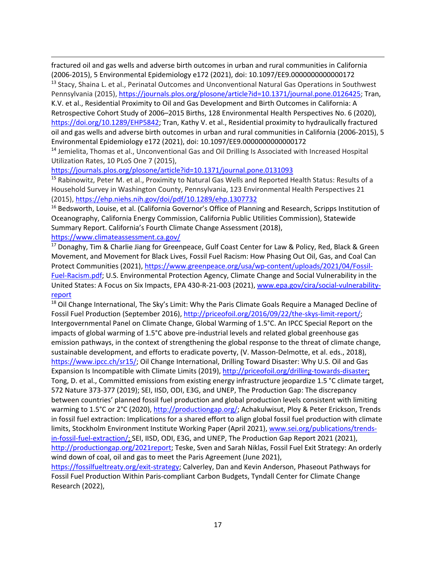fractured oil and gas wells and adverse birth outcomes in urban and rural communities in California (2006-2015), 5 Environmental Epidemiology e172 (2021), doi: 10.1097/EE9.0000000000000172 <sup>13</sup> Stacy, Shaina L. et al., Perinatal Outcomes and Unconventional Natural Gas Operations in Southwest

Pennsylvania (2015)[,](https://journals.plos.org/plosone/article?id=10.1371/journal.pone.0126425) [https://journals.plos.org/plosone/article?id=10.1371/journal.pone.0126425;](https://journals.plos.org/plosone/article?id=10.1371/journal.pone.0126425) Tran, K.V. et al., Residential Proximity to Oil and Gas Development and Birth Outcomes in California: A Retrospective Cohort Study of 2006–2015 Births, 128 Environmental Health Perspectives No. 6 (2020)[,](https://doi.org/10.1289/EHP5842) [https://doi.org/10.1289/EHP5842;](https://doi.org/10.1289/EHP5842) Tran, Kathy V. et al., Residential proximity to hydraulically fractured oil and gas wells and adverse birth outcomes in urban and rural communities in California (2006-2015), 5 Environmental Epidemiology e172 (2021), doi: 10.1097/EE9.0000000000000172

<sup>14</sup> Jemielita, Thomas et al., Unconventional Gas and Oil Drilling Is Associated with Increased Hospital Utilization Rates, 10 PLoS One 7 (2015)[,](https://journals.plos.org/plosone/article?id=10.1371/journal.pone.0131093)

<https://journals.plos.org/plosone/article?id=10.1371/journal.pone.0131093>

<sup>15</sup> Rabinowitz, Peter M. et al., Proximity to Natural Gas Wells and Reported Health Status: Results of a Household Survey in Washington County, Pennsylvania, 123 Environmental Health Perspectives 21 (2015[\),](https://ehp.niehs.nih.gov/doi/pdf/10.1289/ehp.1307732) <https://ehp.niehs.nih.gov/doi/pdf/10.1289/ehp.1307732>

<sup>16</sup> Bedsworth, Louise, et al. (California Governor's Office of Planning and Research, Scripps Institution of Oceanography, California Energy Commission, California Public Utilities Commission), Statewide Summary Report. California's Fourth Climate Change Assessment (2018)[,](https://www.climateassessment.ca.gov/)

### <https://www.climateassessment.ca.gov/>

<sup>17</sup> Donaghy, Tim & Charlie Jiang for Greenpeace, Gulf Coast Center for Law & Policy, Red, Black & Green Movement, and Movement for Black Lives, Fossil Fuel Racism: How Phasing Out Oil, Gas, and Coal Can Protect Communities (2021), [https://www.greenpeace.org/usa/wp-content/uploads/2021/04/Fossil-](https://www.greenpeace.org/usa/wp-content/uploads/2021/04/Fossil-Fuel-Racism.pdf)[Fuel-Racism.pdf;](https://www.greenpeace.org/usa/wp-content/uploads/2021/04/Fossil-Fuel-Racism.pdf) U.S. Environmental Protection Agency, Climate Change and Social Vulnerability in the United States: A Focus on Six Impacts, EPA 430-R-21-003 (2021), [www.epa.gov/cira/social-vulnerability](http://www.epa.gov/cira/social-vulnerability-report)[report](http://www.epa.gov/cira/social-vulnerability-report)

<span id="page-16-2"></span><span id="page-16-1"></span><span id="page-16-0"></span><sup>18</sup> Oil Change International, The Sky's Limit: Why the Paris Climate Goals Require a Managed Decline of Fossil Fuel Production (September 2016)[,](http://priceofoil.org/2016/09/22/the-skys-limit-report/) [http://priceofoil.org/2016/09/22/the-skys-limit-report/;](http://priceofoil.org/2016/09/22/the-skys-limit-report/) Intergovernmental Panel on Climate Change, Global Warming of 1.5°C. An IPCC Special Report on the impacts of global warming of 1.5°C above pre-industrial levels and related global greenhouse gas emission pathways, in the context of strengthening the global response to the threat of climate change, sustainable development, and efforts to eradicate poverty, (V. Masson-Delmotte, et al. eds., 2018)[,](https://www.ipcc.ch/sr15/) [https://www.ipcc.ch/sr15/;](https://www.ipcc.ch/sr15/) Oil Change International, Drilling Toward Disaster: Why U.S. Oil and Gas Expansion Is Incompatible with Climate Limits (2019)[,](http://priceofoil.org/drilling-towards-disaster) [http://priceofoil.org/drilling-towards-disaster;](http://priceofoil.org/drilling-towards-disaster) Tong, D. et al., Committed emissions from existing energy infrastructure jeopardize 1.5 °C climate target, 572 Nature 373-377 (2019); SEI, IISD, ODI, E3G, and UNEP, The Production Gap: The discrepancy between countries' planned fossil fuel production and global production levels consistent with limiting warming to 1.5°C or 2°C (2020), [http://productiongap.org/;](http://productiongap.org/) Achakulwisut, Ploy & Peter Erickson, Trends in fossil fuel extraction: Implications for a shared effort to align global fossil fuel production with climate limits, Stockholm Environment Institute Working Paper (April 2021)[,](http://www.sei.org/publications/trends-in-fossil-fuel-extraction/) [www.sei.org/publications/trends](http://www.sei.org/publications/trends-in-fossil-fuel-extraction/)[in-fossil-fuel-extraction/;](http://www.sei.org/publications/trends-in-fossil-fuel-extraction/) SEI, IISD, ODI, E3G, and UNEP, The Production Gap Report 2021 (2021)[,](http://productiongap.org/2021report) [http://productiongap.org/2021report;](http://productiongap.org/2021report) Teske, Sven and Sarah Niklas, Fossil Fuel Exit Strategy: An orderly wind down of coal, oil and gas to meet the Paris Agreement (June 2021)[,](https://fossilfueltreaty.org/exit-strategy)

<span id="page-16-3"></span>[https://fossilfueltreaty.org/exit-strategy;](https://fossilfueltreaty.org/exit-strategy) Calverley, Dan and Kevin Anderson, [Phaseout Pathways for](https://www.research.manchester.ac.uk/portal/en/publications/phaseout-pathways-for-fossil-fuel-production-within-pariscompliant-carbon-budgets(c7235a8e-e3b1-4f44-99de-c27958c03758).html)  [Fossil Fuel Production Within Paris-compliant Carbon Budgets,](https://www.research.manchester.ac.uk/portal/en/publications/phaseout-pathways-for-fossil-fuel-production-within-pariscompliant-carbon-budgets(c7235a8e-e3b1-4f44-99de-c27958c03758).html) Tyndall Center for Climate Change Research (2022),